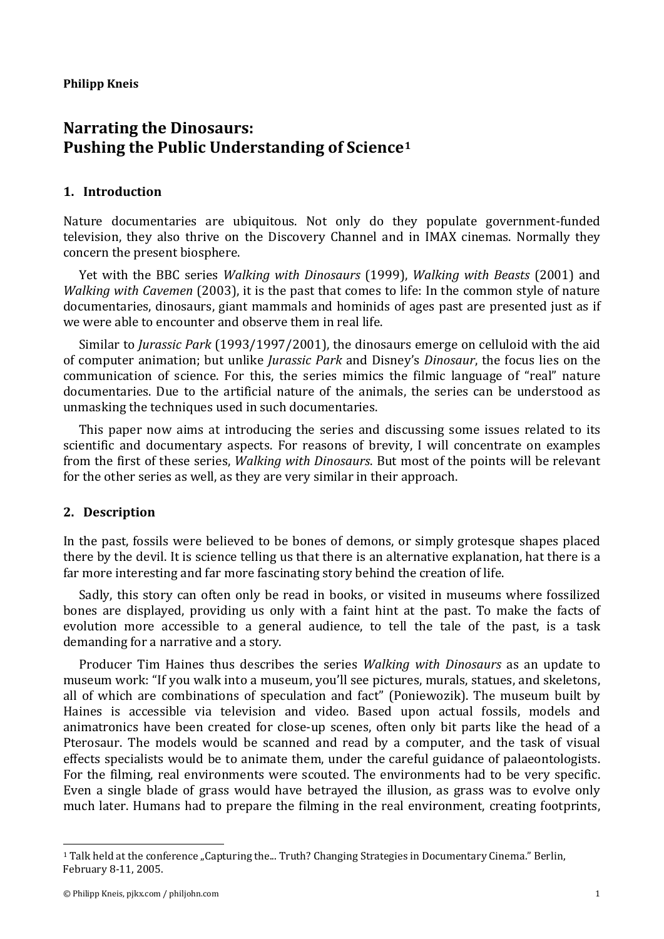#### **Philipp Kneis**

# **Narrating the Dinosaurs: Pushing the Public Understanding of Science[1](#page-0-0)**

# **1. Introduction**

Nature documentaries are ubiquitous. Not only do they populate government-funded television, they also thrive on the Discovery Channel and in IMAX cinemas. Normally they concern the present biosphere.

Yet with the BBC series *Walking with Dinosaurs* (1999), *Walking with Beasts* (2001) and *Walking with Cavemen* (2003), it is the past that comes to life: In the common style of nature documentaries, dinosaurs, giant mammals and hominids of ages past are presented just as if we were able to encounter and observe them in real life.

Similar to *Jurassic Park* (1993/1997/2001), the dinosaurs emerge on celluloid with the aid of computer animation; but unlike *Jurassic Park* and Disney's *Dinosaur*, the focus lies on the communication of science. For this, the series mimics the filmic language of "real" nature documentaries. Due to the artificial nature of the animals, the series can be understood as unmasking the techniques used in such documentaries.

This paper now aims at introducing the series and discussing some issues related to its scientific and documentary aspects. For reasons of brevity, I will concentrate on examples from the first of these series, *Walking with Dinosaurs*. But most of the points will be relevant for the other series as well, as they are very similar in their approach.

# **2. Description**

In the past, fossils were believed to be bones of demons, or simply grotesque shapes placed there by the devil. It is science telling us that there is an alternative explanation, hat there is a far more interesting and far more fascinating story behind the creation of life.

Sadly, this story can often only be read in books, or visited in museums where fossilized bones are displayed, providing us only with a faint hint at the past. To make the facts of evolution more accessible to a general audience, to tell the tale of the past, is a task demanding for a narrative and a story.

Producer Tim Haines thus describes the series *Walking with Dinosaurs* as an update to museum work: "If you walk into a museum, you'll see pictures, murals, statues, and skeletons, all of which are combinations of speculation and fact" (Poniewozik). The museum built by Haines is accessible via television and video. Based upon actual fossils, models and animatronics have been created for close-up scenes, often only bit parts like the head of a Pterosaur. The models would be scanned and read by a computer, and the task of visual effects specialists would be to animate them, under the careful guidance of palaeontologists. For the filming, real environments were scouted. The environments had to be very specific. Even a single blade of grass would have betrayed the illusion, as grass was to evolve only much later. Humans had to prepare the filming in the real environment, creating footprints,

 $\overline{a}$ 

<span id="page-0-0"></span><sup>&</sup>lt;sup>1</sup> Talk held at the conference "Capturing the... Truth? Changing Strategies in Documentary Cinema." Berlin, February 8-11, 2005.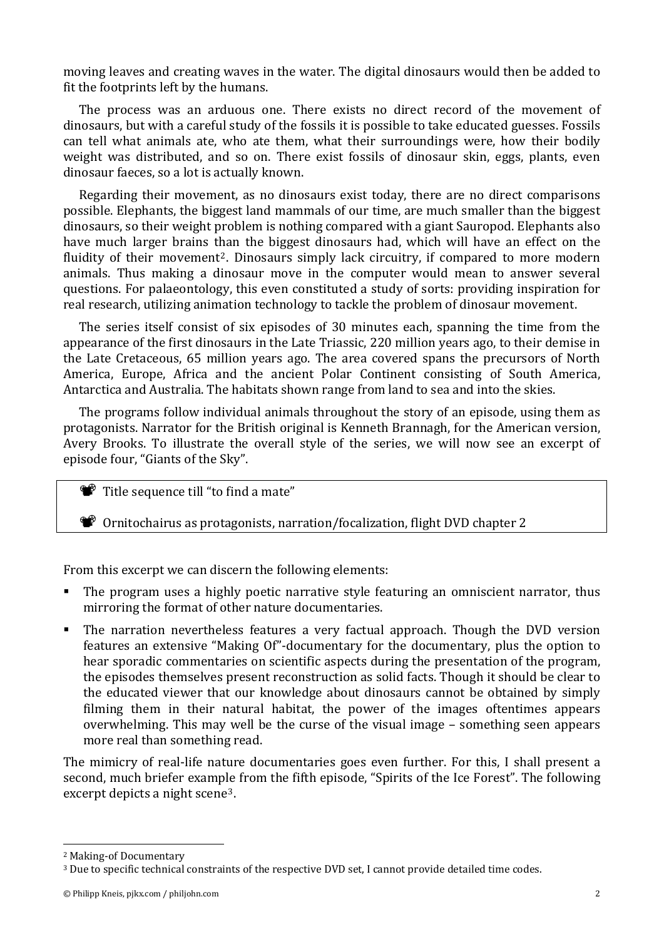moving leaves and creating waves in the water. The digital dinosaurs would then be added to fit the footprints left by the humans.

The process was an arduous one. There exists no direct record of the movement of dinosaurs, but with a careful study of the fossils it is possible to take educated guesses. Fossils can tell what animals ate, who ate them, what their surroundings were, how their bodily weight was distributed, and so on. There exist fossils of dinosaur skin, eggs, plants, even dinosaur faeces, so a lot is actually known.

Regarding their movement, as no dinosaurs exist today, there are no direct comparisons possible. Elephants, the biggest land mammals of our time, are much smaller than the biggest dinosaurs, so their weight problem is nothing compared with a giant Sauropod. Elephants also have much larger brains t[h](#page-1-0)an the biggest dinosaurs had, which will have an effect on the fluidity of their movement<sup>2</sup>. Dinosaurs simply lack circuitry, if compared to more modern animals. Thus making a dinosaur move in the computer would mean to answer several questions. For palaeontology, this even constituted a study of sorts: providing inspiration for real research, utilizing animation technology to tackle the problem of dinosaur movement.

The series itself consist of six episodes of 30 minutes each, spanning the time from the appearance of the first dinosaurs in the Late Triassic, 220 million years ago, to their demise in the Late Cretaceous, 65 million years ago. The area covered spans the precursors of North America, Europe, Africa and the ancient Polar Continent consisting of South America, Antarctica and Australia. The habitats shown range from land to sea and into the skies.

The programs follow individual animals throughout the story of an episode, using them as protagonists. Narrator for the British original is Kenneth Brannagh, for the American version, Avery Brooks. To illustrate the overall style of the series, we will now see an excerpt of episode four, "Giants of the Sky".

Title sequence till "to find a mate"

Ornitochairus as protagonists, narration/focalization, flight DVD chapter 2

From this excerpt we can discern the following elements:

- The program uses a highly poetic narrative style featuring an omniscient narrator, thus mirroring the format of other nature documentaries.
- The narration nevertheless features a very factual approach. Though the DVD version features an extensive "Making Of"-documentary for the documentary, plus the option to hear sporadic commentaries on scientific aspects during the presentation of the program, the episodes themselves present reconstruction as solid facts. Though it should be clear to the educated viewer that our knowledge about dinosaurs cannot be obtained by simply filming them in their natural habitat, the power of the images oftentimes appears overwhelming. This may well be the curse of the visual image – something seen appears more real than something read.

The mimicry of real-life nature documentaries goes even further. For this, I shall present a second, much briefer example from the fifth episode, "Spirits of the Ice Forest". The following excerpt depicts a night scene[3](#page-1-1).

l

<span id="page-1-0"></span><sup>2</sup> Making-of Documentary

<span id="page-1-1"></span><sup>3</sup> Due to specific technical constraints of the respective DVD set, I cannot provide detailed time codes.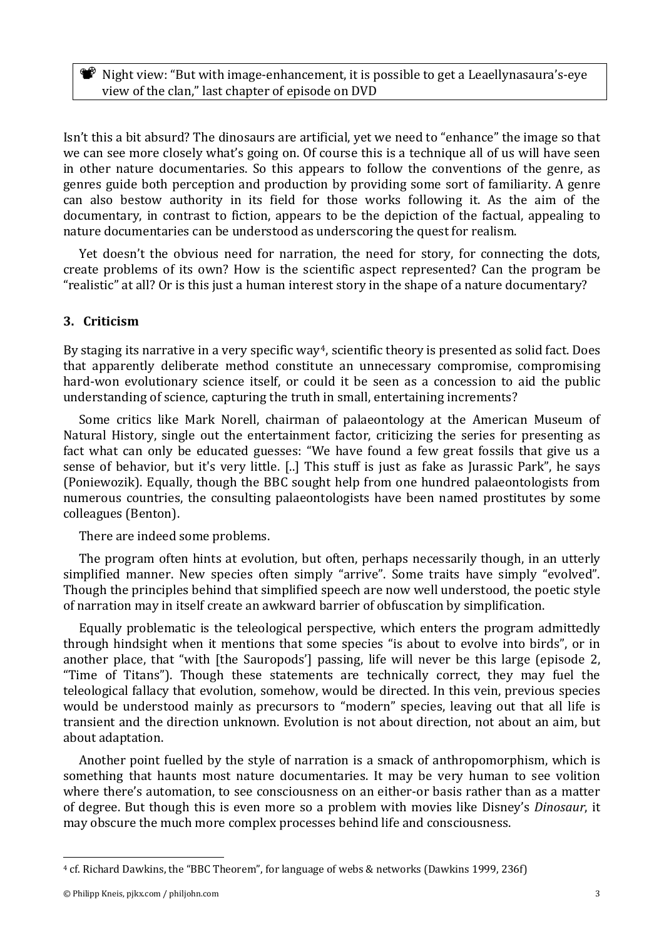**W** Night view: "But with image-enhancement, it is possible to get a Leaellynasaura's-eye view of the clan," last chapter of episode on DVD

Isn't this a bit absurd? The dinosaurs are artificial, yet we need to "enhance" the image so that we can see more closely what's going on. Of course this is a technique all of us will have seen in other nature documentaries. So this appears to follow the conventions of the genre, as genres guide both perception and production by providing some sort of familiarity. A genre can also bestow authority in its field for those works following it. As the aim of the documentary, in contrast to fiction, appears to be the depiction of the factual, appealing to na ture documentaries can be understood as underscoring the quest for realism.

Yet doesn't the obvious need for narration, the need for story, for connecting the dots, create problems of its own? How is the scientific aspect represented? Can the program be "realistic" at all? Or is this just a human interest story in the shape of a nature documentary?

# **3. Criticism**

By staging its narrative in a very specific way<sup>4</sup>, scientific theory is presented as solid fact. Does that apparently deliberate method constitute an unnecessary compromise, compromising hard-won evolutionary science itself, or could it be seen as a concession to aid the public understanding of science, capturing the truth in small, entertaining increments?

Some critics like Mark Norell, chairman of palaeontology at the American Museum of Natural History, single out the entertainment factor, criticizing the series for presenting as fact what can only be educated guesses: "We have found a few great fossils that give us a sense of behavior, but it's very little. [..] This stuff is just as fake as Jurassic Park", he says (Poniewozik). Equally, though the BBC sought help from one hundred palaeontologists from numerous countries, the consulting palaeontologists have been named prostitutes by some colleagues (Benton).

There are indeed some problems.

The program often hints at evolution, but often, perhaps necessarily though, in an utterly simplified manner. New species often simply "arrive". Some traits have simply "evolved". Though the principles behind that simplified speech are now well understood, the poetic style of narration may in itself create an awkward barrier of obfuscation by simplification.

Equally problematic is the teleological perspective, which enters the program admittedly through hindsight when it mentions that some species "is about to evolve into birds", or in another place, that "with [the Sauropods'] passing, life will never be this large (episode 2, "Time of Titans"). Though these statements are technically correct, they may fuel the teleological fallacy that evolution, somehow, would be directed. In this vein, previous species would be understood mainly as precursors to "modern" species, leaving out that all life is transient and the direction unknown. Evolution is not about direction, not about an aim, but about adaptation.

Another point fuelled by the style of narration is a smack of anthropomorphism, which is something that haunts most nature documentaries. It may be very human to see volition where there's automation, to see consciousness on an either-or basis rather than as a matter of degree. But though this is even more so a problem with movies like Disney's *Dinosaur*, it may obscure the much more complex processes behind life and consciousness.

 $\overline{a}$ 

<span id="page-2-0"></span><sup>4</sup> cf. Richard Dawkins, the "BBC Theorem", for language of webs & networks (Dawkins 1999, 236f)